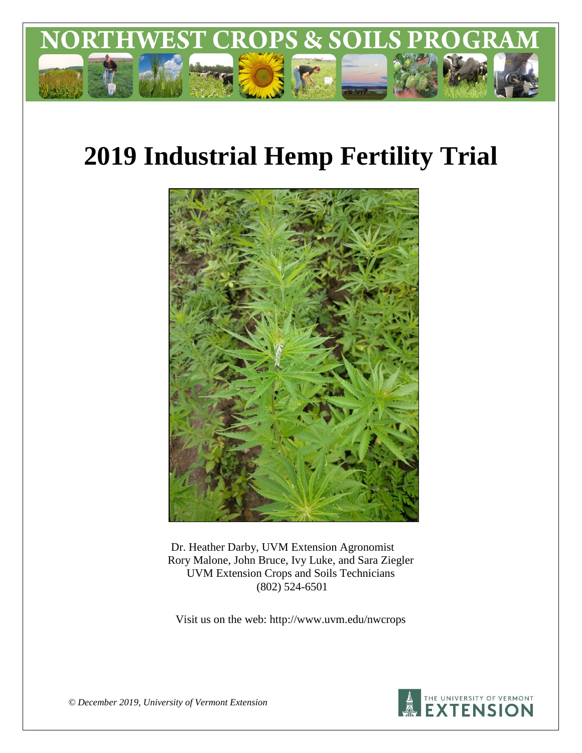

# **2019 Industrial Hemp Fertility Trial**



Dr. Heather Darby, UVM Extension Agronomist Rory Malone, John Bruce, Ivy Luke, and Sara Ziegler UVM Extension Crops and Soils Technicians (802) 524-6501

Visit us on the web: http://www.uvm.edu/nwcrops



*© December 2019, University of Vermont Extension*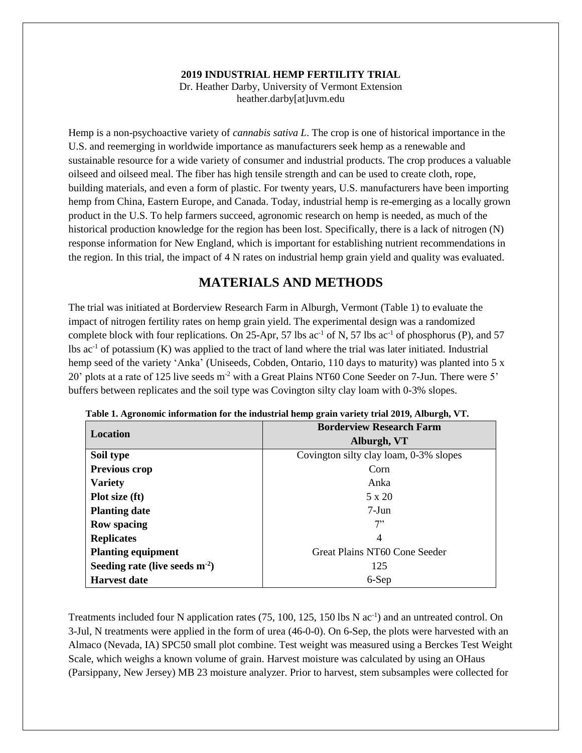#### **2019 INDUSTRIAL HEMP FERTILITY TRIAL**

Dr. Heather Darby, University of Vermont Extension heather.darby[at]uvm.edu

Hemp is a non-psychoactive variety of *cannabis sativa L*. The crop is one of historical importance in the U.S. and reemerging in worldwide importance as manufacturers seek hemp as a renewable and sustainable resource for a wide variety of consumer and industrial products. The crop produces a valuable oilseed and oilseed meal. The fiber has high tensile strength and can be used to create cloth, rope, building materials, and even a form of plastic. For twenty years, U.S. manufacturers have been importing hemp from China, Eastern Europe, and Canada. Today, industrial hemp is re-emerging as a locally grown product in the U.S. To help farmers succeed, agronomic research on hemp is needed, as much of the historical production knowledge for the region has been lost. Specifically, there is a lack of nitrogen (N) response information for New England, which is important for establishing nutrient recommendations in the region. In this trial, the impact of 4 N rates on industrial hemp grain yield and quality was evaluated.

### **MATERIALS AND METHODS**

The trial was initiated at Borderview Research Farm in Alburgh, Vermont (Table 1) to evaluate the impact of nitrogen fertility rates on hemp grain yield. The experimental design was a randomized complete block with four replications. On 25-Apr, 57 lbs  $ac^{-1}$  of N, 57 lbs  $ac^{-1}$  of phosphorus (P), and 57 lbs  $ac<sup>-1</sup>$  of potassium (K) was applied to the tract of land where the trial was later initiated. Industrial hemp seed of the variety 'Anka' (Uniseeds, Cobden, Ontario, 110 days to maturity) was planted into 5 x 20' plots at a rate of 125 live seeds m-2 with a Great Plains NT60 Cone Seeder on 7-Jun. There were 5' buffers between replicates and the soil type was Covington silty clay loam with 0-3% slopes.

| <b>Location</b>                     | <b>Borderview Research Farm</b>        |
|-------------------------------------|----------------------------------------|
|                                     | Alburgh, VT                            |
| Soil type                           | Covington silty clay loam, 0-3% slopes |
| Previous crop                       | Corn                                   |
| <b>Variety</b>                      | Anka                                   |
| Plot size (ft)                      | 5 x 20                                 |
| <b>Planting date</b>                | $7-J$ un                               |
| <b>Row spacing</b>                  | 7"                                     |
| <b>Replicates</b>                   | 4                                      |
| <b>Planting equipment</b>           | Great Plains NT60 Cone Seeder          |
| Seeding rate (live seeds $m^{-2}$ ) | 125                                    |
| <b>Harvest date</b>                 | 6-Sep                                  |

|  | Table 1. Agronomic information for the industrial hemp grain variety trial 2019, Alburgh, VT. |  |  |  |  |
|--|-----------------------------------------------------------------------------------------------|--|--|--|--|
|  |                                                                                               |  |  |  |  |

Treatments included four N application rates (75, 100, 125, 150 lbs N ac<sup>-1</sup>) and an untreated control. On 3-Jul, N treatments were applied in the form of urea (46-0-0). On 6-Sep, the plots were harvested with an Almaco (Nevada, IA) SPC50 small plot combine. Test weight was measured using a Berckes Test Weight Scale, which weighs a known volume of grain. Harvest moisture was calculated by using an OHaus (Parsippany, New Jersey) MB 23 moisture analyzer. Prior to harvest, stem subsamples were collected for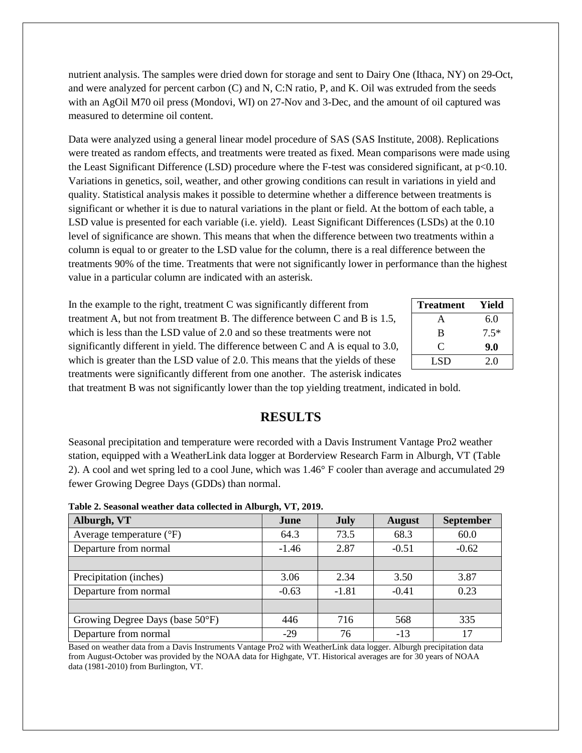nutrient analysis. The samples were dried down for storage and sent to Dairy One (Ithaca, NY) on 29-Oct, and were analyzed for percent carbon (C) and N, C:N ratio, P, and K. Oil was extruded from the seeds with an AgOil M70 oil press (Mondovi, WI) on 27-Nov and 3-Dec, and the amount of oil captured was measured to determine oil content.

Data were analyzed using a general linear model procedure of SAS (SAS Institute, 2008). Replications were treated as random effects, and treatments were treated as fixed. Mean comparisons were made using the Least Significant Difference (LSD) procedure where the F-test was considered significant, at p<0.10. Variations in genetics, soil, weather, and other growing conditions can result in variations in yield and quality. Statistical analysis makes it possible to determine whether a difference between treatments is significant or whether it is due to natural variations in the plant or field. At the bottom of each table, a LSD value is presented for each variable (i.e. yield). Least Significant Differences (LSDs) at the 0.10 level of significance are shown. This means that when the difference between two treatments within a column is equal to or greater to the LSD value for the column, there is a real difference between the treatments 90% of the time. Treatments that were not significantly lower in performance than the highest value in a particular column are indicated with an asterisk.

In the example to the right, treatment C was significantly different from treatment A, but not from treatment B. The difference between C and B is 1.5, which is less than the LSD value of 2.0 and so these treatments were not significantly different in yield. The difference between C and A is equal to 3.0, which is greater than the LSD value of 2.0. This means that the yields of these treatments were significantly different from one another. The asterisk indicates

| <b>Treatment</b> | Yield  |
|------------------|--------|
| А                | 6.0    |
| B                | $7.5*$ |
| €                | 9.0    |
| LSD              | 2.0    |

that treatment B was not significantly lower than the top yielding treatment, indicated in bold.

#### **RESULTS**

Seasonal precipitation and temperature were recorded with a Davis Instrument Vantage Pro2 weather station, equipped with a WeatherLink data logger at Borderview Research Farm in Alburgh, VT (Table 2). A cool and wet spring led to a cool June, which was 1.46° F cooler than average and accumulated 29 fewer Growing Degree Days (GDDs) than normal.

| Alburgh, VT                       | June    | <b>July</b> | <b>August</b> | <b>September</b> |
|-----------------------------------|---------|-------------|---------------|------------------|
| Average temperature $(^{\circ}F)$ | 64.3    | 73.5        | 68.3          | 60.0             |
| Departure from normal             | $-1.46$ | 2.87        | $-0.51$       | $-0.62$          |
|                                   |         |             |               |                  |
| Precipitation (inches)            | 3.06    | 2.34        | 3.50          | 3.87             |
| Departure from normal             | $-0.63$ | $-1.81$     | $-0.41$       | 0.23             |
|                                   |         |             |               |                  |
| Growing Degree Days (base 50°F)   | 446     | 716         | 568           | 335              |
| Departure from normal             | $-29$   | 76          | $-13$         | 17               |

**Table 2. Seasonal weather data collected in Alburgh, VT, 2019.**

Based on weather data from a Davis Instruments Vantage Pro2 with WeatherLink data logger. Alburgh precipitation data from August-October was provided by the NOAA data for Highgate, VT. Historical averages are for 30 years of NOAA data (1981-2010) from Burlington, VT.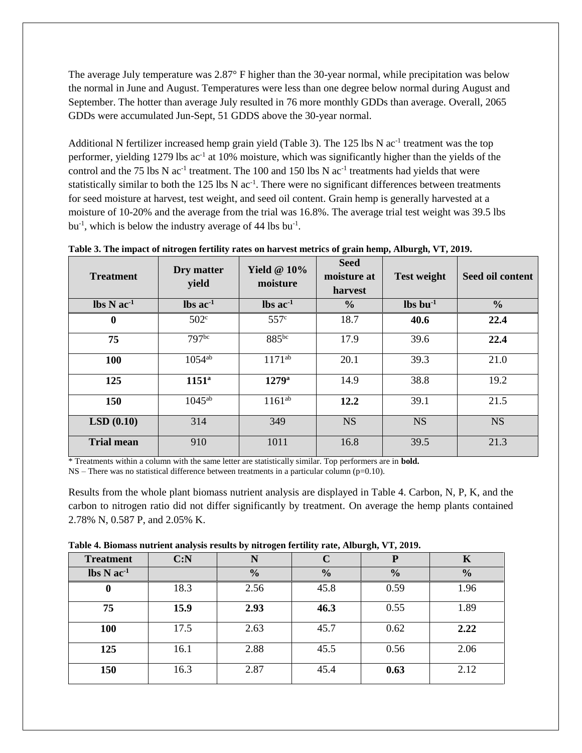The average July temperature was 2.87° F higher than the 30-year normal, while precipitation was below the normal in June and August. Temperatures were less than one degree below normal during August and September. The hotter than average July resulted in 76 more monthly GDDs than average. Overall, 2065 GDDs were accumulated Jun-Sept, 51 GDDS above the 30-year normal.

Additional N fertilizer increased hemp grain yield (Table 3). The 125 lbs N ac<sup>-1</sup> treatment was the top performer, yielding 1279 lbs ac<sup>-1</sup> at 10% moisture, which was significantly higher than the yields of the control and the 75 lbs N  $ac^{-1}$  treatment. The 100 and 150 lbs N  $ac^{-1}$  treatments had yields that were statistically similar to both the  $125$  lbs N ac<sup>-1</sup>. There were no significant differences between treatments for seed moisture at harvest, test weight, and seed oil content. Grain hemp is generally harvested at a moisture of 10-20% and the average from the trial was 16.8%. The average trial test weight was 39.5 lbs bu<sup>-1</sup>, which is below the industry average of 44 lbs bu<sup>-1</sup>.

| <b>Treatment</b>                           | Dry matter<br>yield           | Yield $@10\%$<br>moisture     | <b>Seed</b><br>moisture at<br>harvest | <b>Test weight</b>               | Seed oil content |
|--------------------------------------------|-------------------------------|-------------------------------|---------------------------------------|----------------------------------|------------------|
| $\text{lbs} \, \text{N} \, \text{ac}^{-1}$ | $\text{lbs}$ ac <sup>-1</sup> | $\text{lbs}$ ac <sup>-1</sup> | $\frac{6}{6}$                         | $\mathbf{lbs}\,\mathbf{bu}^{-1}$ | $\frac{6}{6}$    |
| $\bf{0}$                                   | 502 <sup>c</sup>              | 557 <sup>c</sup>              | 18.7                                  | 40.6                             | 22.4             |
| 75                                         | 797bc                         | 885bc                         | 17.9                                  | 39.6                             | 22.4             |
| <b>100</b>                                 | $1054^{ab}$                   | $1171^{ab}$                   | 20.1                                  | 39.3                             | 21.0             |
| 125                                        | $1151^{\circ}$                | $1279$ <sup>a</sup>           | 14.9                                  | 38.8                             | 19.2             |
| 150                                        | $1045^{ab}$                   | $1161^{ab}$                   | 12.2                                  | 39.1                             | 21.5             |
| LSD(0.10)                                  | 314                           | 349                           | <b>NS</b>                             | <b>NS</b>                        | <b>NS</b>        |
| <b>Trial mean</b>                          | 910                           | 1011                          | 16.8                                  | 39.5                             | 21.3             |

**Table 3. The impact of nitrogen fertility rates on harvest metrics of grain hemp, Alburgh, VT, 2019.** 

\* Treatments within a column with the same letter are statistically similar. Top performers are in **bold.**

 $NS$  – There was no statistical difference between treatments in a particular column (p=0.10).

Results from the whole plant biomass nutrient analysis are displayed in Table 4. Carbon, N, P, K, and the carbon to nitrogen ratio did not differ significantly by treatment. On average the hemp plants contained 2.78% N, 0.587 P, and 2.05% K.

|  |  | Table 4. Biomass nutrient analysis results by nitrogen fertility rate, Alburgh, VT, 2019. |
|--|--|-------------------------------------------------------------------------------------------|
|  |  |                                                                                           |

|                                            |      | $\tilde{}$    |               |               |               |
|--------------------------------------------|------|---------------|---------------|---------------|---------------|
| <b>Treatment</b>                           | C: N | N             | $\mathbf{C}$  | P             | K             |
| $\text{lbs} \, \text{N} \, \text{ac}^{-1}$ |      | $\frac{0}{0}$ | $\frac{0}{0}$ | $\frac{0}{0}$ | $\frac{0}{0}$ |
| $\bf{0}$                                   | 18.3 | 2.56          | 45.8          | 0.59          | 1.96          |
| 75                                         | 15.9 | 2.93          | 46.3          | 0.55          | 1.89          |
| 100                                        | 17.5 | 2.63          | 45.7          | 0.62          | 2.22          |
| 125                                        | 16.1 | 2.88          | 45.5          | 0.56          | 2.06          |
| 150                                        | 16.3 | 2.87          | 45.4          | 0.63          | 2.12          |